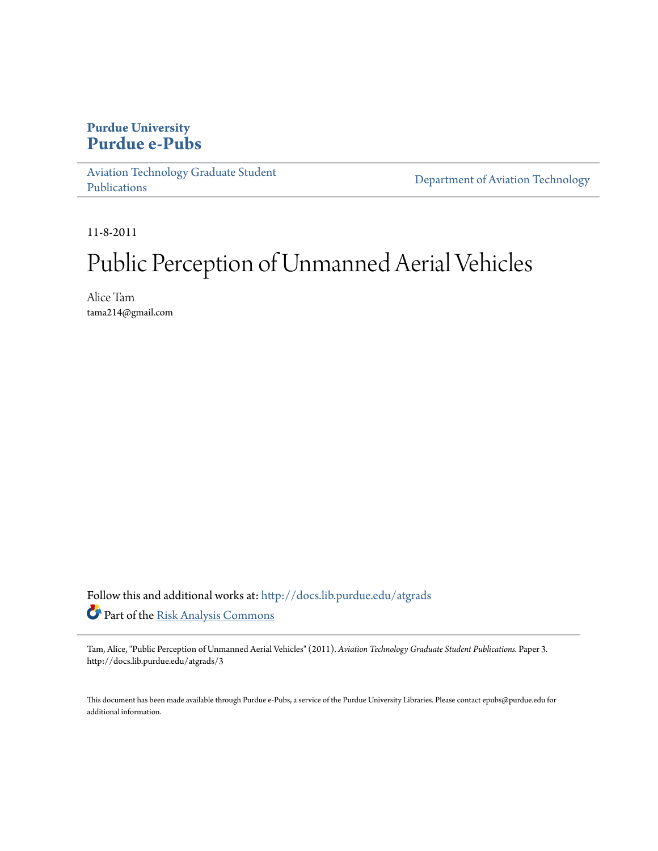# **Purdue University [Purdue e-Pubs](http://docs.lib.purdue.edu?utm_source=docs.lib.purdue.edu%2Fatgrads%2F3&utm_medium=PDF&utm_campaign=PDFCoverPages)**

[Aviation Technology Graduate Student](http://docs.lib.purdue.edu/atgrads?utm_source=docs.lib.purdue.edu%2Fatgrads%2F3&utm_medium=PDF&utm_campaign=PDFCoverPages) [Publications](http://docs.lib.purdue.edu/atgrads?utm_source=docs.lib.purdue.edu%2Fatgrads%2F3&utm_medium=PDF&utm_campaign=PDFCoverPages)

[Department of Aviation Technology](http://docs.lib.purdue.edu/avtech?utm_source=docs.lib.purdue.edu%2Fatgrads%2F3&utm_medium=PDF&utm_campaign=PDFCoverPages)

11-8-2011

# Public Perception of Unmanned Aerial Vehicles

Alice Tam tama214@gmail.com

Follow this and additional works at: [http://docs.lib.purdue.edu/atgrads](http://docs.lib.purdue.edu/atgrads?utm_source=docs.lib.purdue.edu%2Fatgrads%2F3&utm_medium=PDF&utm_campaign=PDFCoverPages) Part of the [Risk Analysis Commons](http://network.bepress.com/hgg/discipline/1199?utm_source=docs.lib.purdue.edu%2Fatgrads%2F3&utm_medium=PDF&utm_campaign=PDFCoverPages)

Tam, Alice, "Public Perception of Unmanned Aerial Vehicles" (2011). *Aviation Technology Graduate Student Publications.* Paper 3. http://docs.lib.purdue.edu/atgrads/3

This document has been made available through Purdue e-Pubs, a service of the Purdue University Libraries. Please contact epubs@purdue.edu for additional information.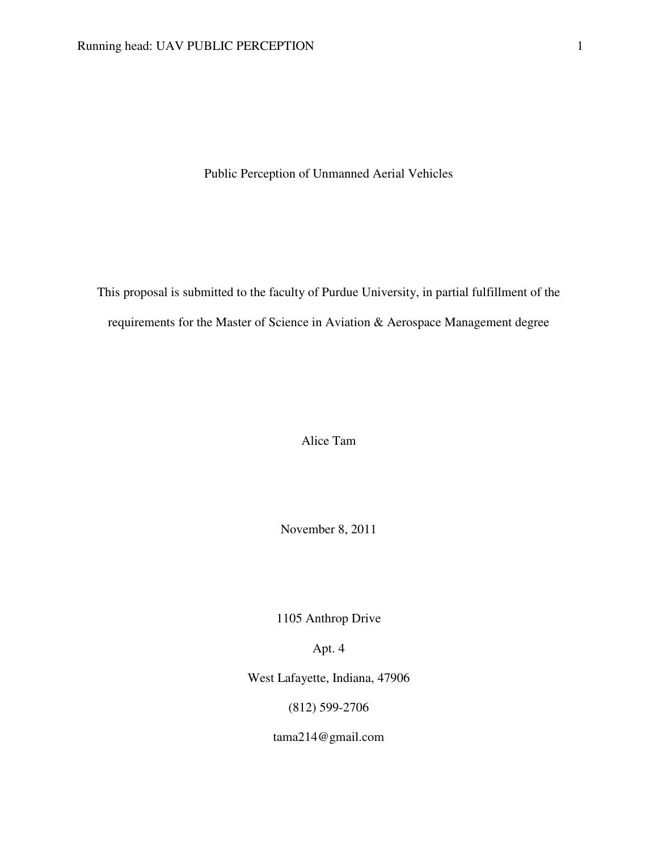Public Perception of Unmanned Aerial Vehicles

This proposal is submitted to the faculty of Purdue University, in partial fulfillment of the requirements for the Master of Science in Aviation & Aerospace Management degree

Alice Tam

November 8, 2011

1105 Anthrop Drive

Apt. 4

West Lafayette, Indiana, 47906

(812) 599-2706

tama214@gmail.com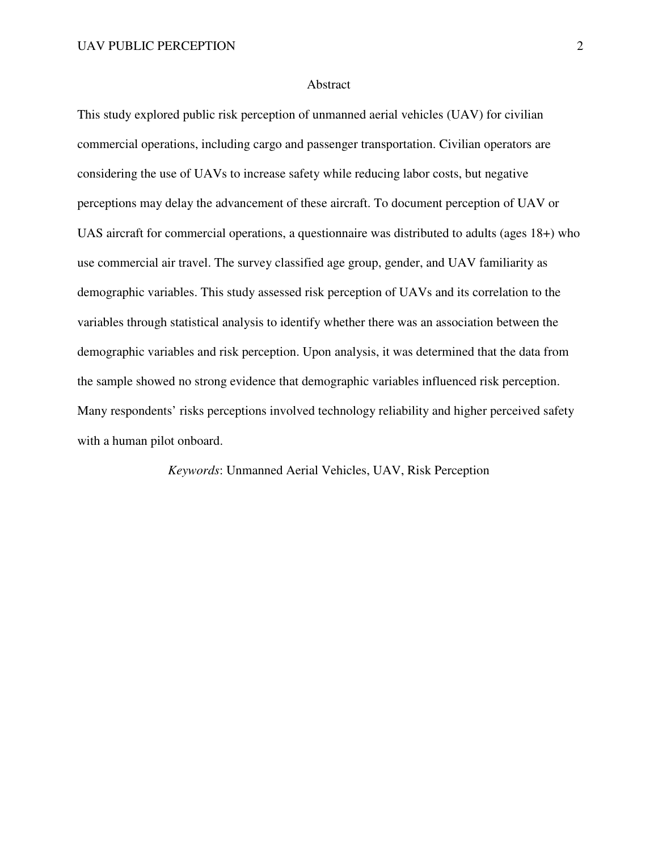#### Abstract

This study explored public risk perception of unmanned aerial vehicles (UAV) for civilian commercial operations, including cargo and passenger transportation. Civilian operators are considering the use of UAVs to increase safety while reducing labor costs, but negative perceptions may delay the advancement of these aircraft. To document perception of UAV or UAS aircraft for commercial operations, a questionnaire was distributed to adults (ages 18+) who use commercial air travel. The survey classified age group, gender, and UAV familiarity as demographic variables. This study assessed risk perception of UAVs and its correlation to the variables through statistical analysis to identify whether there was an association between the demographic variables and risk perception. Upon analysis, it was determined that the data from the sample showed no strong evidence that demographic variables influenced risk perception. Many respondents' risks perceptions involved technology reliability and higher perceived safety with a human pilot onboard.

*Keywords*: Unmanned Aerial Vehicles, UAV, Risk Perception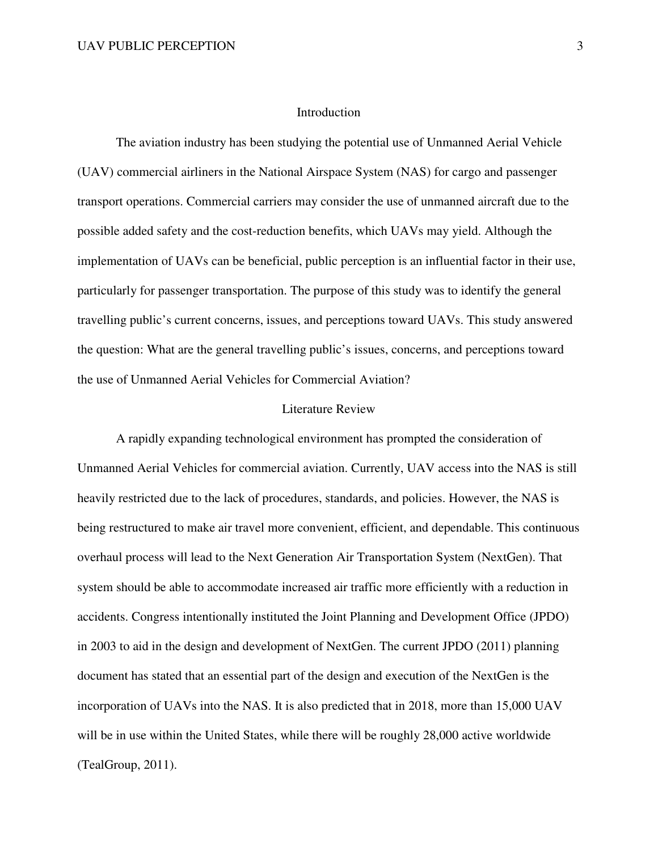#### Introduction

 The aviation industry has been studying the potential use of Unmanned Aerial Vehicle (UAV) commercial airliners in the National Airspace System (NAS) for cargo and passenger transport operations. Commercial carriers may consider the use of unmanned aircraft due to the possible added safety and the cost-reduction benefits, which UAVs may yield. Although the implementation of UAVs can be beneficial, public perception is an influential factor in their use, particularly for passenger transportation. The purpose of this study was to identify the general travelling public's current concerns, issues, and perceptions toward UAVs. This study answered the question: What are the general travelling public's issues, concerns, and perceptions toward the use of Unmanned Aerial Vehicles for Commercial Aviation?

#### Literature Review

A rapidly expanding technological environment has prompted the consideration of Unmanned Aerial Vehicles for commercial aviation. Currently, UAV access into the NAS is still heavily restricted due to the lack of procedures, standards, and policies. However, the NAS is being restructured to make air travel more convenient, efficient, and dependable. This continuous overhaul process will lead to the Next Generation Air Transportation System (NextGen). That system should be able to accommodate increased air traffic more efficiently with a reduction in accidents. Congress intentionally instituted the Joint Planning and Development Office (JPDO) in 2003 to aid in the design and development of NextGen. The current JPDO (2011) planning document has stated that an essential part of the design and execution of the NextGen is the incorporation of UAVs into the NAS. It is also predicted that in 2018, more than 15,000 UAV will be in use within the United States, while there will be roughly 28,000 active worldwide (TealGroup, 2011).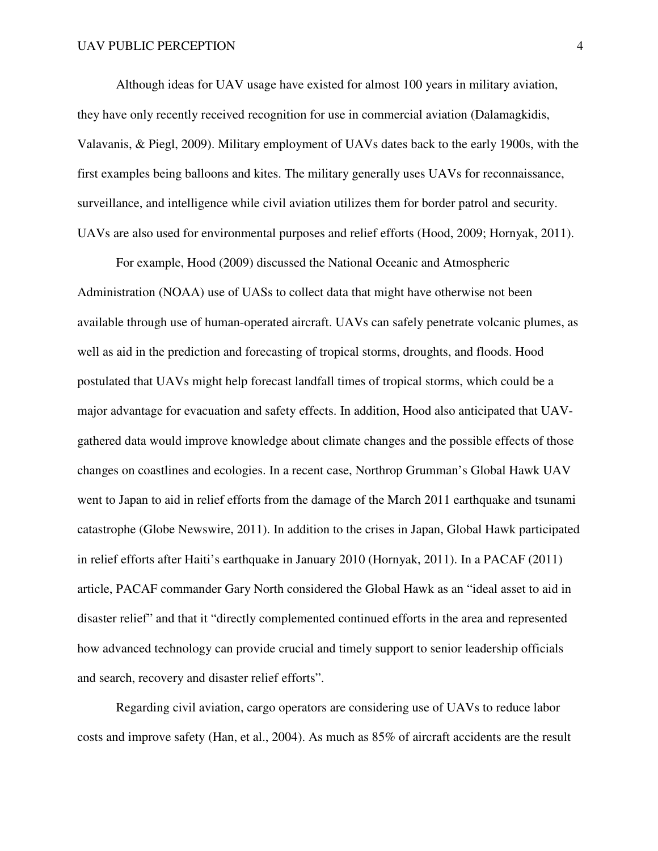Although ideas for UAV usage have existed for almost 100 years in military aviation, they have only recently received recognition for use in commercial aviation (Dalamagkidis, Valavanis, & Piegl, 2009). Military employment of UAVs dates back to the early 1900s, with the first examples being balloons and kites. The military generally uses UAVs for reconnaissance, surveillance, and intelligence while civil aviation utilizes them for border patrol and security. UAVs are also used for environmental purposes and relief efforts (Hood, 2009; Hornyak, 2011).

For example, Hood (2009) discussed the National Oceanic and Atmospheric Administration (NOAA) use of UASs to collect data that might have otherwise not been available through use of human-operated aircraft. UAVs can safely penetrate volcanic plumes, as well as aid in the prediction and forecasting of tropical storms, droughts, and floods. Hood postulated that UAVs might help forecast landfall times of tropical storms, which could be a major advantage for evacuation and safety effects. In addition, Hood also anticipated that UAVgathered data would improve knowledge about climate changes and the possible effects of those changes on coastlines and ecologies. In a recent case, Northrop Grumman's Global Hawk UAV went to Japan to aid in relief efforts from the damage of the March 2011 earthquake and tsunami catastrophe (Globe Newswire, 2011). In addition to the crises in Japan, Global Hawk participated in relief efforts after Haiti's earthquake in January 2010 (Hornyak, 2011). In a PACAF (2011) article, PACAF commander Gary North considered the Global Hawk as an "ideal asset to aid in disaster relief" and that it "directly complemented continued efforts in the area and represented how advanced technology can provide crucial and timely support to senior leadership officials and search, recovery and disaster relief efforts".

Regarding civil aviation, cargo operators are considering use of UAVs to reduce labor costs and improve safety (Han, et al., 2004). As much as 85% of aircraft accidents are the result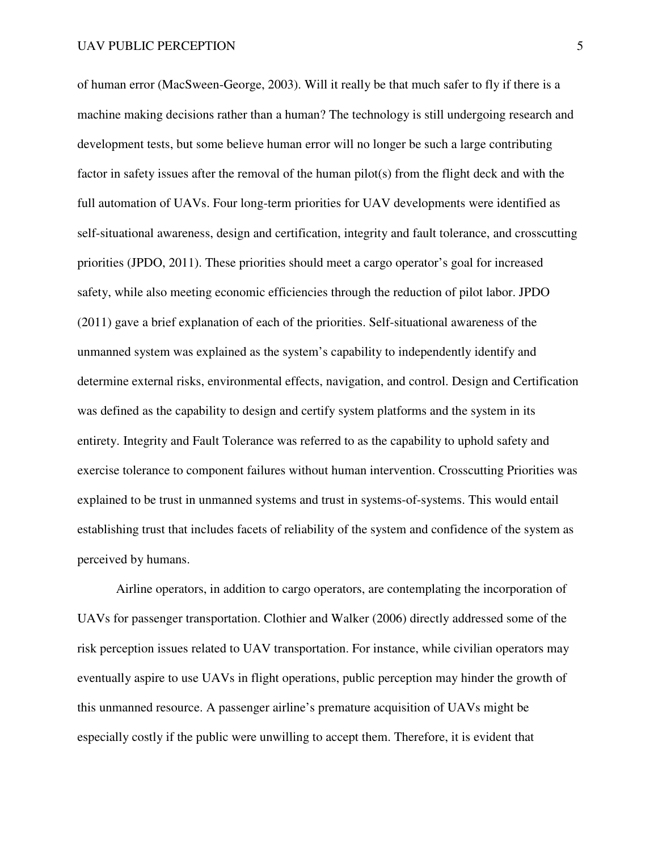of human error (MacSween-George, 2003). Will it really be that much safer to fly if there is a machine making decisions rather than a human? The technology is still undergoing research and development tests, but some believe human error will no longer be such a large contributing factor in safety issues after the removal of the human pilot(s) from the flight deck and with the full automation of UAVs. Four long-term priorities for UAV developments were identified as self-situational awareness, design and certification, integrity and fault tolerance, and crosscutting priorities (JPDO, 2011). These priorities should meet a cargo operator's goal for increased safety, while also meeting economic efficiencies through the reduction of pilot labor. JPDO (2011) gave a brief explanation of each of the priorities. Self-situational awareness of the unmanned system was explained as the system's capability to independently identify and determine external risks, environmental effects, navigation, and control. Design and Certification was defined as the capability to design and certify system platforms and the system in its entirety. Integrity and Fault Tolerance was referred to as the capability to uphold safety and exercise tolerance to component failures without human intervention. Crosscutting Priorities was explained to be trust in unmanned systems and trust in systems-of-systems. This would entail establishing trust that includes facets of reliability of the system and confidence of the system as perceived by humans.

Airline operators, in addition to cargo operators, are contemplating the incorporation of UAVs for passenger transportation. Clothier and Walker (2006) directly addressed some of the risk perception issues related to UAV transportation. For instance, while civilian operators may eventually aspire to use UAVs in flight operations, public perception may hinder the growth of this unmanned resource. A passenger airline's premature acquisition of UAVs might be especially costly if the public were unwilling to accept them. Therefore, it is evident that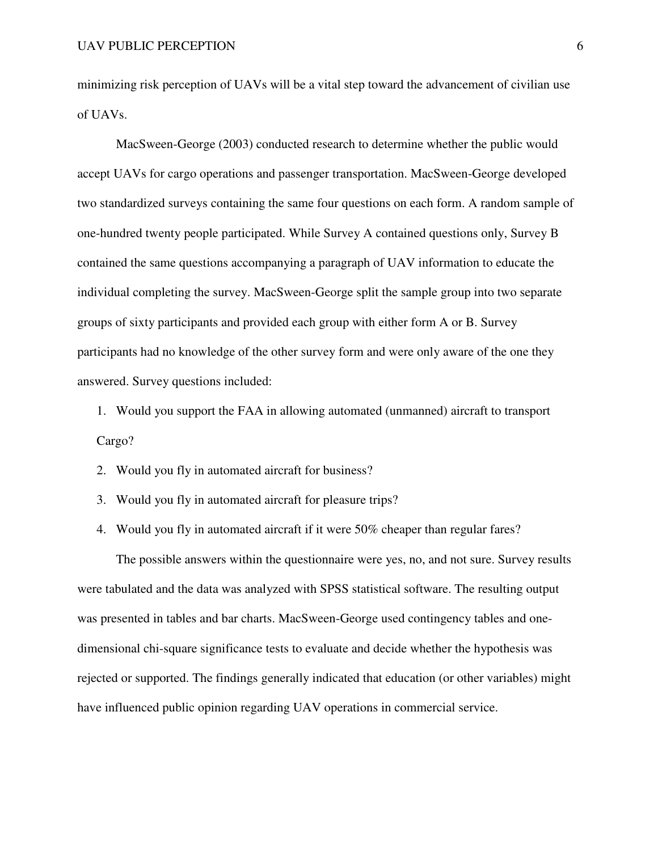minimizing risk perception of UAVs will be a vital step toward the advancement of civilian use of UAVs.

MacSween-George (2003) conducted research to determine whether the public would accept UAVs for cargo operations and passenger transportation. MacSween-George developed two standardized surveys containing the same four questions on each form. A random sample of one-hundred twenty people participated. While Survey A contained questions only, Survey B contained the same questions accompanying a paragraph of UAV information to educate the individual completing the survey. MacSween-George split the sample group into two separate groups of sixty participants and provided each group with either form A or B. Survey participants had no knowledge of the other survey form and were only aware of the one they answered. Survey questions included:

1. Would you support the FAA in allowing automated (unmanned) aircraft to transport Cargo?

2. Would you fly in automated aircraft for business?

3. Would you fly in automated aircraft for pleasure trips?

4. Would you fly in automated aircraft if it were 50% cheaper than regular fares?

 The possible answers within the questionnaire were yes, no, and not sure. Survey results were tabulated and the data was analyzed with SPSS statistical software. The resulting output was presented in tables and bar charts. MacSween-George used contingency tables and onedimensional chi-square significance tests to evaluate and decide whether the hypothesis was rejected or supported. The findings generally indicated that education (or other variables) might have influenced public opinion regarding UAV operations in commercial service.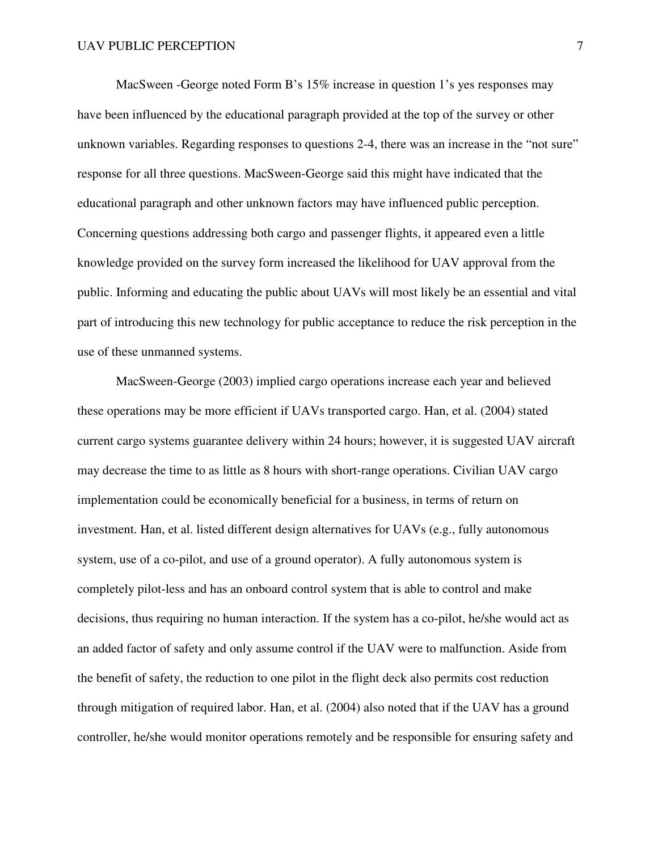MacSween -George noted Form B's 15% increase in question 1's yes responses may have been influenced by the educational paragraph provided at the top of the survey or other unknown variables. Regarding responses to questions 2-4, there was an increase in the "not sure" response for all three questions. MacSween-George said this might have indicated that the educational paragraph and other unknown factors may have influenced public perception. Concerning questions addressing both cargo and passenger flights, it appeared even a little knowledge provided on the survey form increased the likelihood for UAV approval from the public. Informing and educating the public about UAVs will most likely be an essential and vital part of introducing this new technology for public acceptance to reduce the risk perception in the use of these unmanned systems.

 MacSween-George (2003) implied cargo operations increase each year and believed these operations may be more efficient if UAVs transported cargo. Han, et al. (2004) stated current cargo systems guarantee delivery within 24 hours; however, it is suggested UAV aircraft may decrease the time to as little as 8 hours with short-range operations. Civilian UAV cargo implementation could be economically beneficial for a business, in terms of return on investment. Han, et al. listed different design alternatives for UAVs (e.g., fully autonomous system, use of a co-pilot, and use of a ground operator). A fully autonomous system is completely pilot-less and has an onboard control system that is able to control and make decisions, thus requiring no human interaction. If the system has a co-pilot, he/she would act as an added factor of safety and only assume control if the UAV were to malfunction. Aside from the benefit of safety, the reduction to one pilot in the flight deck also permits cost reduction through mitigation of required labor. Han, et al. (2004) also noted that if the UAV has a ground controller, he/she would monitor operations remotely and be responsible for ensuring safety and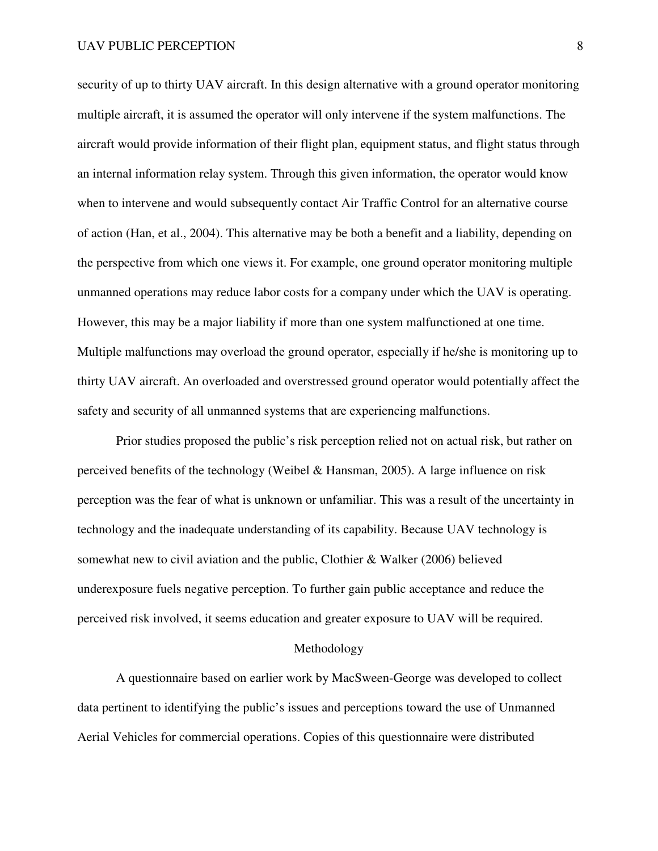security of up to thirty UAV aircraft. In this design alternative with a ground operator monitoring multiple aircraft, it is assumed the operator will only intervene if the system malfunctions. The aircraft would provide information of their flight plan, equipment status, and flight status through an internal information relay system. Through this given information, the operator would know when to intervene and would subsequently contact Air Traffic Control for an alternative course of action (Han, et al., 2004). This alternative may be both a benefit and a liability, depending on the perspective from which one views it. For example, one ground operator monitoring multiple unmanned operations may reduce labor costs for a company under which the UAV is operating. However, this may be a major liability if more than one system malfunctioned at one time. Multiple malfunctions may overload the ground operator, especially if he/she is monitoring up to thirty UAV aircraft. An overloaded and overstressed ground operator would potentially affect the safety and security of all unmanned systems that are experiencing malfunctions.

Prior studies proposed the public's risk perception relied not on actual risk, but rather on perceived benefits of the technology (Weibel & Hansman, 2005). A large influence on risk perception was the fear of what is unknown or unfamiliar. This was a result of the uncertainty in technology and the inadequate understanding of its capability. Because UAV technology is somewhat new to civil aviation and the public, Clothier & Walker (2006) believed underexposure fuels negative perception. To further gain public acceptance and reduce the perceived risk involved, it seems education and greater exposure to UAV will be required.

#### Methodology

A questionnaire based on earlier work by MacSween-George was developed to collect data pertinent to identifying the public's issues and perceptions toward the use of Unmanned Aerial Vehicles for commercial operations. Copies of this questionnaire were distributed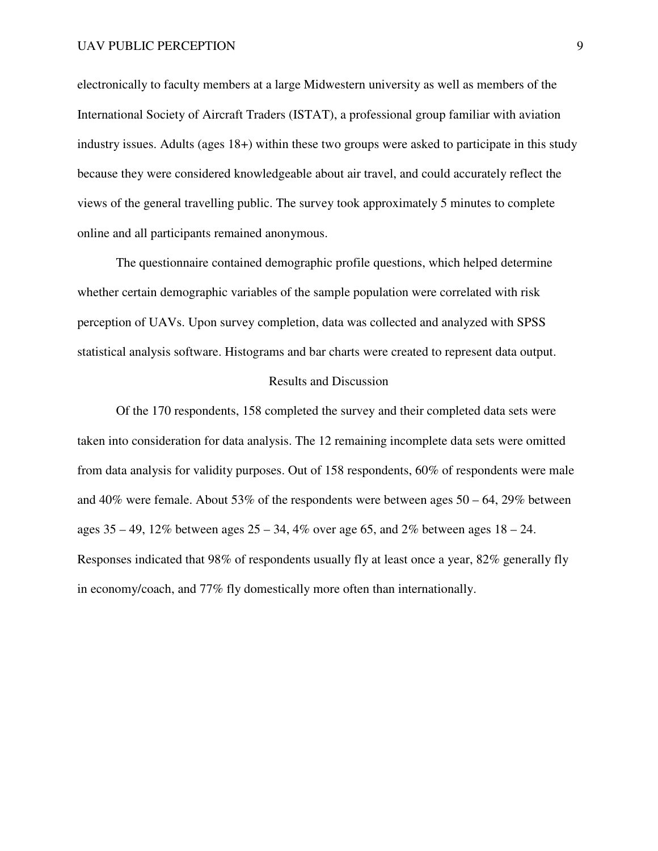electronically to faculty members at a large Midwestern university as well as members of the International Society of Aircraft Traders (ISTAT), a professional group familiar with aviation industry issues. Adults (ages 18+) within these two groups were asked to participate in this study because they were considered knowledgeable about air travel, and could accurately reflect the views of the general travelling public. The survey took approximately 5 minutes to complete online and all participants remained anonymous.

The questionnaire contained demographic profile questions, which helped determine whether certain demographic variables of the sample population were correlated with risk perception of UAVs. Upon survey completion, data was collected and analyzed with SPSS statistical analysis software. Histograms and bar charts were created to represent data output.

#### Results and Discussion

 Of the 170 respondents, 158 completed the survey and their completed data sets were taken into consideration for data analysis. The 12 remaining incomplete data sets were omitted from data analysis for validity purposes. Out of 158 respondents, 60% of respondents were male and 40% were female. About 53% of the respondents were between ages  $50 - 64$ , 29% between ages  $35 - 49$ ,  $12\%$  between ages  $25 - 34$ ,  $4\%$  over age 65, and  $2\%$  between ages  $18 - 24$ . Responses indicated that 98% of respondents usually fly at least once a year, 82% generally fly in economy/coach, and 77% fly domestically more often than internationally.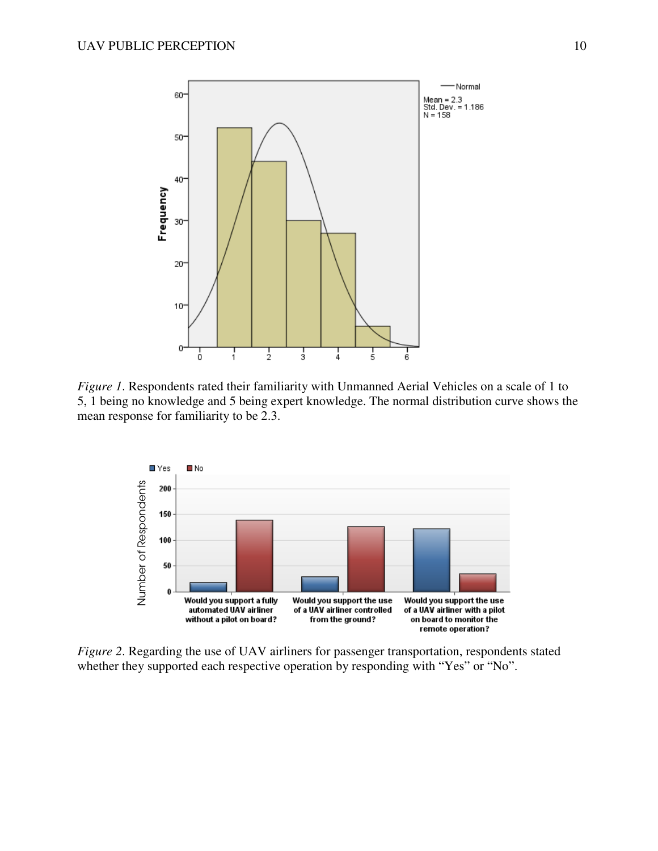

*Figure 1*. Respondents rated their familiarity with Unmanned Aerial Vehicles on a scale of 1 to 5, 1 being no knowledge and 5 being expert knowledge. The normal distribution curve shows the mean response for familiarity to be 2.3.



*Figure 2*. Regarding the use of UAV airliners for passenger transportation, respondents stated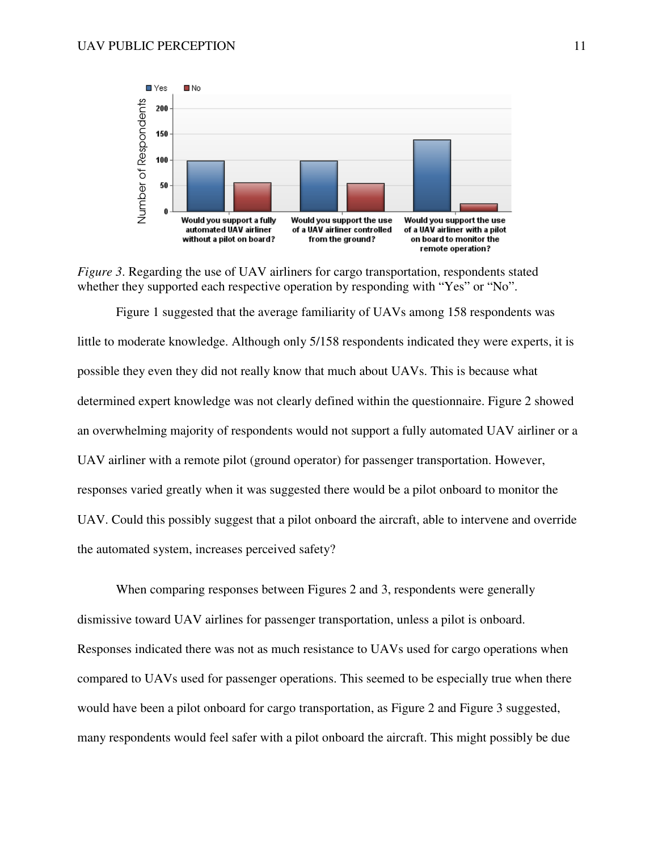



Figure 1 suggested that the average familiarity of UAVs among 158 respondents was little to moderate knowledge. Although only 5/158 respondents indicated they were experts, it is possible they even they did not really know that much about UAVs. This is because what determined expert knowledge was not clearly defined within the questionnaire. Figure 2 showed an overwhelming majority of respondents would not support a fully automated UAV airliner or a UAV airliner with a remote pilot (ground operator) for passenger transportation. However, responses varied greatly when it was suggested there would be a pilot onboard to monitor the UAV. Could this possibly suggest that a pilot onboard the aircraft, able to intervene and override the automated system, increases perceived safety? many responses with the same of the same of the same of the same of the same of the same of the same of the same of the same of the same of the same of the same of the same of the same of the same of the same of the same

When comparing responses between Figures 2 and 3, respondents were generally dismissive toward UAV airlines for passenger transportation, unless a pilot is onboard. Responses indicated there was not as much resistance to UAVs used for cargo operations when compared to UAVs used for passenger operations. This seemed to be especially true when there would have been a pilot onboard for cargo transportation, as Figure 2 and Figure 3 suggested,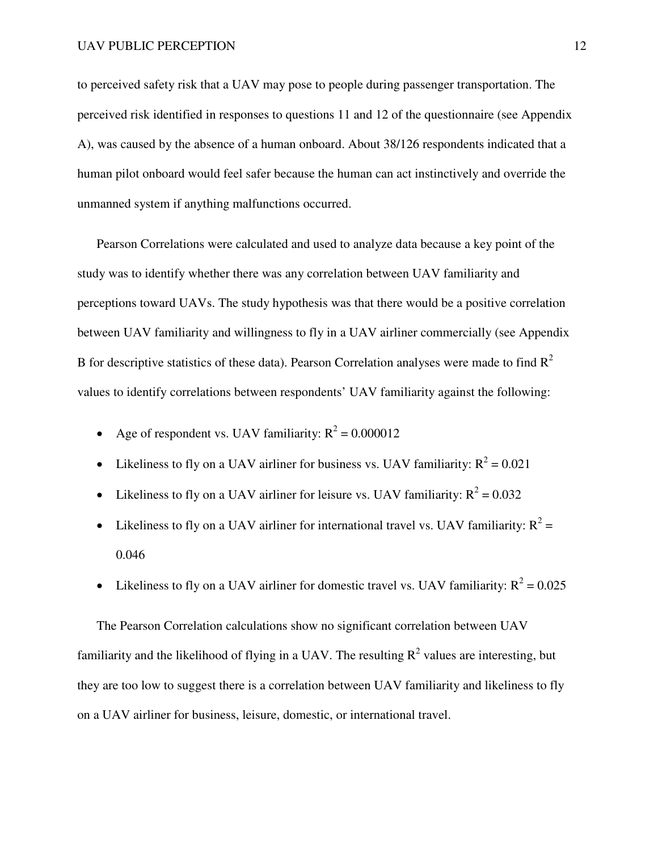to perceived safety risk that a UAV may pose to people during passenger transportation. The perceived risk identified in responses to questions 11 and 12 of the questionnaire (see Appendix A), was caused by the absence of a human onboard. About 38/126 respondents indicated that a human pilot onboard would feel safer because the human can act instinctively and override the unmanned system if anything malfunctions occurred.

Pearson Correlations were calculated and used to analyze data because a key point of the study was to identify whether there was any correlation between UAV familiarity and perceptions toward UAVs. The study hypothesis was that there would be a positive correlation between UAV familiarity and willingness to fly in a UAV airliner commercially (see Appendix B for descriptive statistics of these data). Pearson Correlation analyses were made to find  $R^2$ values to identify correlations between respondents' UAV familiarity against the following:

- Age of respondent vs. UAV familiarity:  $R^2 = 0.000012$
- Likeliness to fly on a UAV airliner for business vs. UAV familiarity:  $R^2 = 0.021$
- Likeliness to fly on a UAV airliner for leisure vs. UAV familiarity:  $R^2 = 0.032$
- Likeliness to fly on a UAV airliner for international travel vs. UAV familiarity:  $R^2 =$ 0.046
- Likeliness to fly on a UAV airliner for domestic travel vs. UAV familiarity:  $R^2 = 0.025$

The Pearson Correlation calculations show no significant correlation between UAV familiarity and the likelihood of flying in a UAV. The resulting  $R^2$  values are interesting, but they are too low to suggest there is a correlation between UAV familiarity and likeliness to fly on a UAV airliner for business, leisure, domestic, or international travel.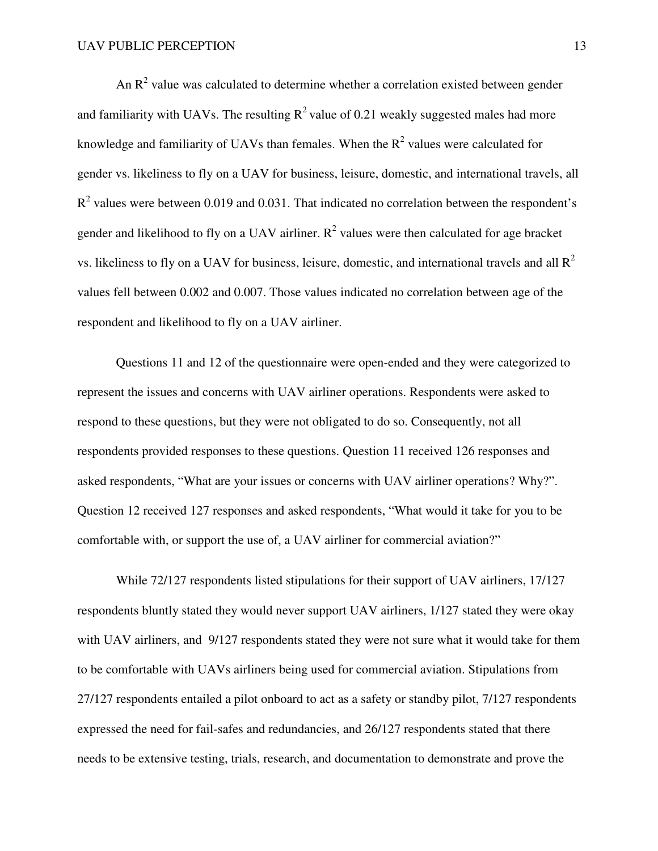An  $R<sup>2</sup>$  value was calculated to determine whether a correlation existed between gender and familiarity with UAVs. The resulting  $R^2$  value of 0.21 weakly suggested males had more knowledge and familiarity of UAVs than females. When the  $R^2$  values were calculated for gender vs. likeliness to fly on a UAV for business, leisure, domestic, and international travels, all  $R<sup>2</sup>$  values were between 0.019 and 0.031. That indicated no correlation between the respondent's gender and likelihood to fly on a UAV airliner.  $R^2$  values were then calculated for age bracket vs. likeliness to fly on a UAV for business, leisure, domestic, and international travels and all  $\mathbb{R}^2$ values fell between 0.002 and 0.007. Those values indicated no correlation between age of the respondent and likelihood to fly on a UAV airliner.

Questions 11 and 12 of the questionnaire were open-ended and they were categorized to represent the issues and concerns with UAV airliner operations. Respondents were asked to respond to these questions, but they were not obligated to do so. Consequently, not all respondents provided responses to these questions. Question 11 received 126 responses and asked respondents, "What are your issues or concerns with UAV airliner operations? Why?". Question 12 received 127 responses and asked respondents, "What would it take for you to be comfortable with, or support the use of, a UAV airliner for commercial aviation?"

 While 72/127 respondents listed stipulations for their support of UAV airliners, 17/127 respondents bluntly stated they would never support UAV airliners, 1/127 stated they were okay with UAV airliners, and 9/127 respondents stated they were not sure what it would take for them to be comfortable with UAVs airliners being used for commercial aviation. Stipulations from 27/127 respondents entailed a pilot onboard to act as a safety or standby pilot, 7/127 respondents expressed the need for fail-safes and redundancies, and 26/127 respondents stated that there needs to be extensive testing, trials, research, and documentation to demonstrate and prove the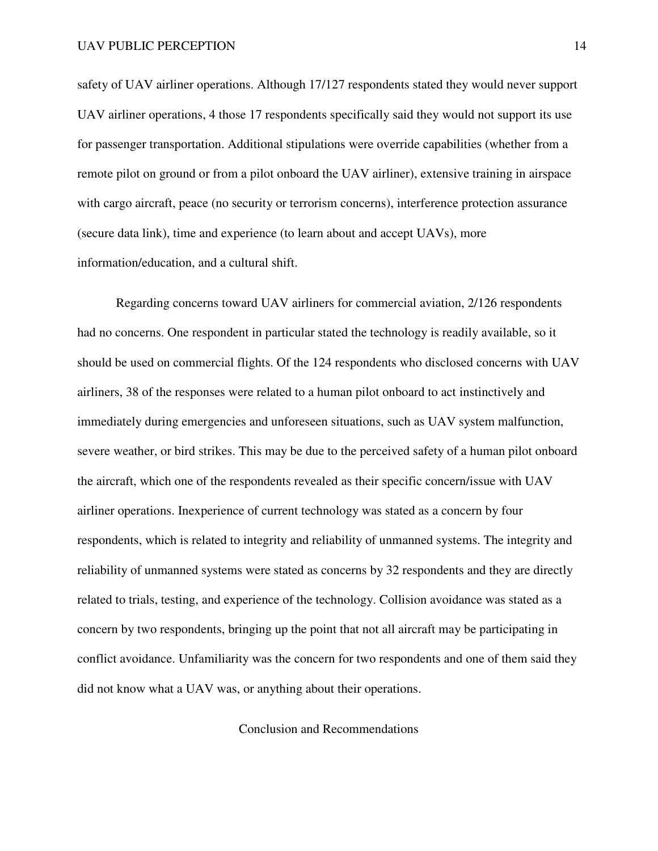safety of UAV airliner operations. Although 17/127 respondents stated they would never support UAV airliner operations, 4 those 17 respondents specifically said they would not support its use for passenger transportation. Additional stipulations were override capabilities (whether from a remote pilot on ground or from a pilot onboard the UAV airliner), extensive training in airspace with cargo aircraft, peace (no security or terrorism concerns), interference protection assurance (secure data link), time and experience (to learn about and accept UAVs), more information/education, and a cultural shift.

 Regarding concerns toward UAV airliners for commercial aviation, 2/126 respondents had no concerns. One respondent in particular stated the technology is readily available, so it should be used on commercial flights. Of the 124 respondents who disclosed concerns with UAV airliners, 38 of the responses were related to a human pilot onboard to act instinctively and immediately during emergencies and unforeseen situations, such as UAV system malfunction, severe weather, or bird strikes. This may be due to the perceived safety of a human pilot onboard the aircraft, which one of the respondents revealed as their specific concern/issue with UAV airliner operations. Inexperience of current technology was stated as a concern by four respondents, which is related to integrity and reliability of unmanned systems. The integrity and reliability of unmanned systems were stated as concerns by 32 respondents and they are directly related to trials, testing, and experience of the technology. Collision avoidance was stated as a concern by two respondents, bringing up the point that not all aircraft may be participating in conflict avoidance. Unfamiliarity was the concern for two respondents and one of them said they did not know what a UAV was, or anything about their operations.

#### Conclusion and Recommendations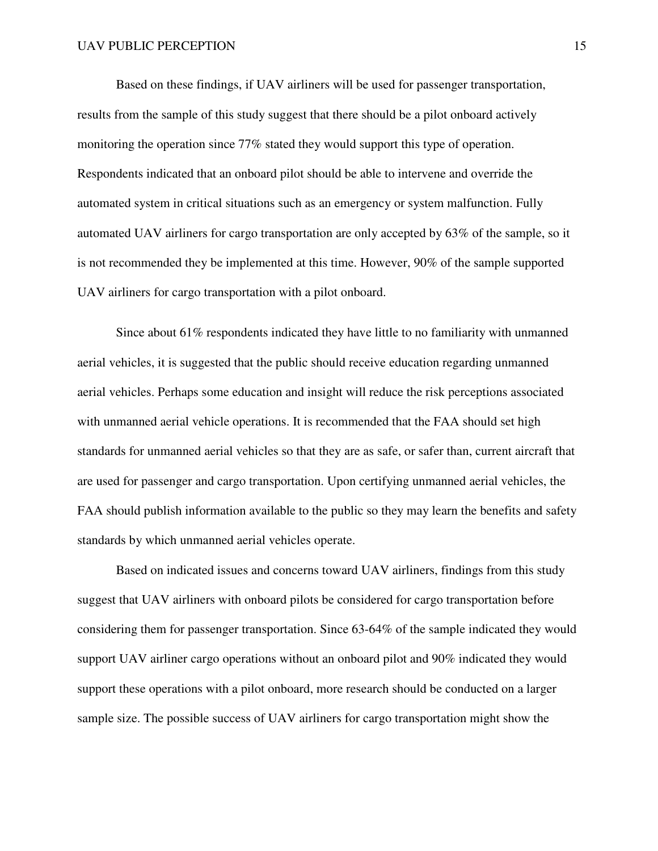Based on these findings, if UAV airliners will be used for passenger transportation, results from the sample of this study suggest that there should be a pilot onboard actively monitoring the operation since 77% stated they would support this type of operation. Respondents indicated that an onboard pilot should be able to intervene and override the automated system in critical situations such as an emergency or system malfunction. Fully automated UAV airliners for cargo transportation are only accepted by 63% of the sample, so it is not recommended they be implemented at this time. However, 90% of the sample supported UAV airliners for cargo transportation with a pilot onboard.

 Since about 61% respondents indicated they have little to no familiarity with unmanned aerial vehicles, it is suggested that the public should receive education regarding unmanned aerial vehicles. Perhaps some education and insight will reduce the risk perceptions associated with unmanned aerial vehicle operations. It is recommended that the FAA should set high standards for unmanned aerial vehicles so that they are as safe, or safer than, current aircraft that are used for passenger and cargo transportation. Upon certifying unmanned aerial vehicles, the FAA should publish information available to the public so they may learn the benefits and safety standards by which unmanned aerial vehicles operate.

 Based on indicated issues and concerns toward UAV airliners, findings from this study suggest that UAV airliners with onboard pilots be considered for cargo transportation before considering them for passenger transportation. Since 63-64% of the sample indicated they would support UAV airliner cargo operations without an onboard pilot and 90% indicated they would support these operations with a pilot onboard, more research should be conducted on a larger sample size. The possible success of UAV airliners for cargo transportation might show the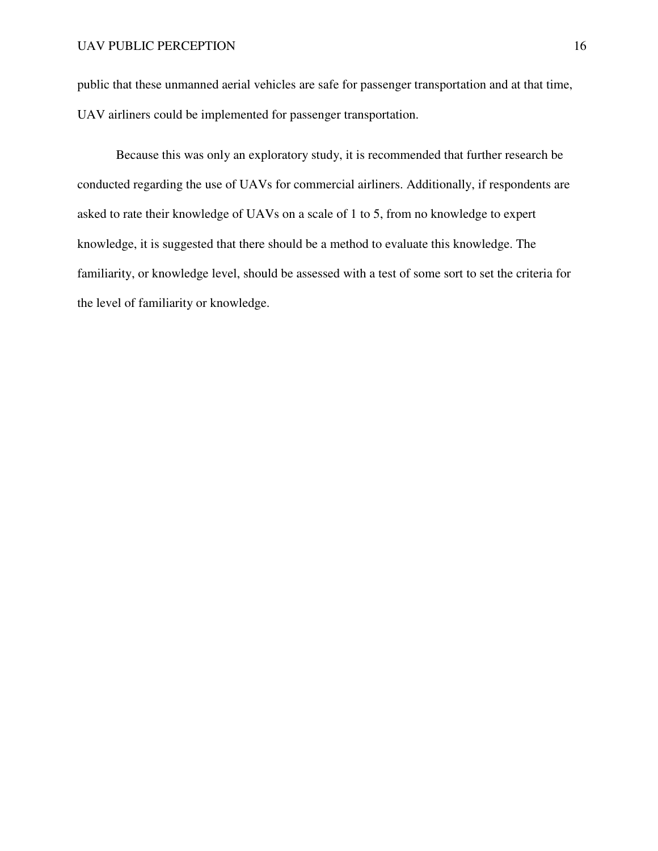public that these unmanned aerial vehicles are safe for passenger transportation and at that time, UAV airliners could be implemented for passenger transportation.

 Because this was only an exploratory study, it is recommended that further research be conducted regarding the use of UAVs for commercial airliners. Additionally, if respondents are asked to rate their knowledge of UAVs on a scale of 1 to 5, from no knowledge to expert knowledge, it is suggested that there should be a method to evaluate this knowledge. The familiarity, or knowledge level, should be assessed with a test of some sort to set the criteria for the level of familiarity or knowledge.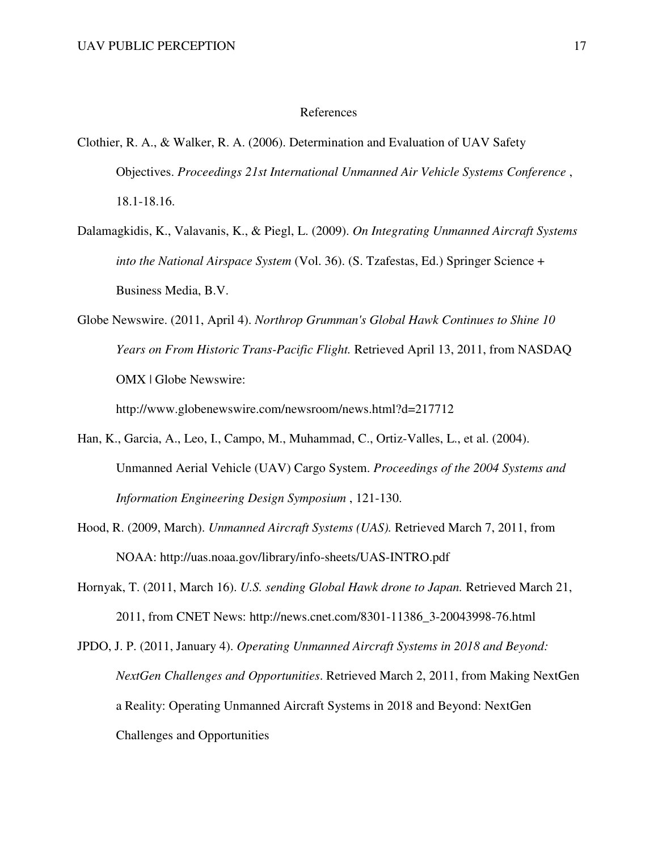#### References

- Clothier, R. A., & Walker, R. A. (2006). Determination and Evaluation of UAV Safety Objectives. *Proceedings 21st International Unmanned Air Vehicle Systems Conference* , 18.1-18.16.
- Dalamagkidis, K., Valavanis, K., & Piegl, L. (2009). *On Integrating Unmanned Aircraft Systems into the National Airspace System* (Vol. 36). (S. Tzafestas, Ed.) Springer Science + Business Media, B.V.
- Globe Newswire. (2011, April 4). *Northrop Grumman's Global Hawk Continues to Shine 10 Years on From Historic Trans-Pacific Flight.* Retrieved April 13, 2011, from NASDAQ OMX | Globe Newswire:

http://www.globenewswire.com/newsroom/news.html?d=217712

- Han, K., Garcia, A., Leo, I., Campo, M., Muhammad, C., Ortiz-Valles, L., et al. (2004). Unmanned Aerial Vehicle (UAV) Cargo System. *Proceedings of the 2004 Systems and Information Engineering Design Symposium* , 121-130.
- Hood, R. (2009, March). *Unmanned Aircraft Systems (UAS).* Retrieved March 7, 2011, from NOAA: http://uas.noaa.gov/library/info-sheets/UAS-INTRO.pdf
- Hornyak, T. (2011, March 16). *U.S. sending Global Hawk drone to Japan.* Retrieved March 21, 2011, from CNET News: http://news.cnet.com/8301-11386\_3-20043998-76.html

JPDO, J. P. (2011, January 4). *Operating Unmanned Aircraft Systems in 2018 and Beyond: NextGen Challenges and Opportunities*. Retrieved March 2, 2011, from Making NextGen a Reality: Operating Unmanned Aircraft Systems in 2018 and Beyond: NextGen Challenges and Opportunities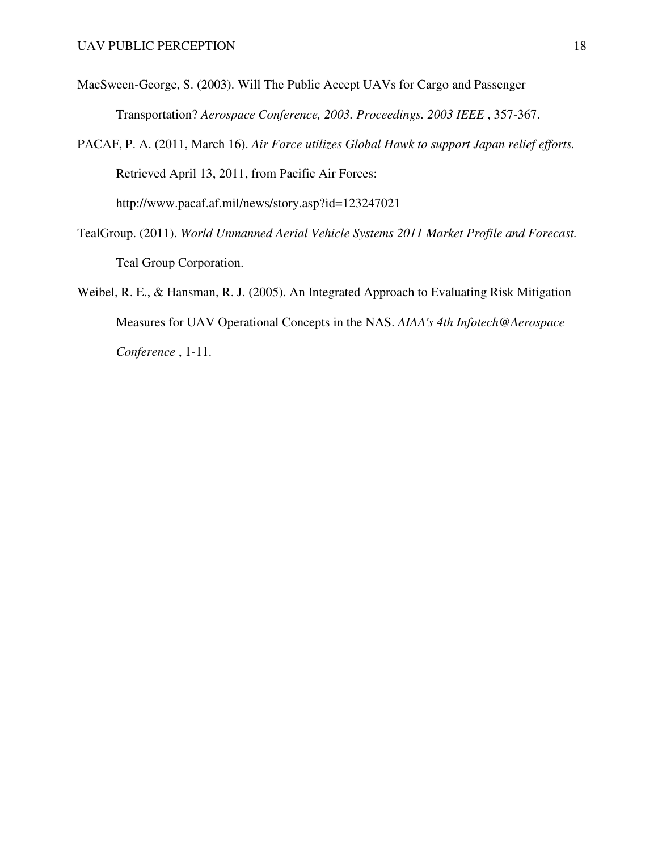- MacSween-George, S. (2003). Will The Public Accept UAVs for Cargo and Passenger Transportation? *Aerospace Conference, 2003. Proceedings. 2003 IEEE* , 357-367.
- PACAF, P. A. (2011, March 16). *Air Force utilizes Global Hawk to support Japan relief efforts.* Retrieved April 13, 2011, from Pacific Air Forces: http://www.pacaf.af.mil/news/story.asp?id=123247021
- TealGroup. (2011). *World Unmanned Aerial Vehicle Systems 2011 Market Profile and Forecast.* Teal Group Corporation.
- Weibel, R. E., & Hansman, R. J. (2005). An Integrated Approach to Evaluating Risk Mitigation Measures for UAV Operational Concepts in the NAS. *AIAA's 4th Infotech@Aerospace Conference* , 1-11.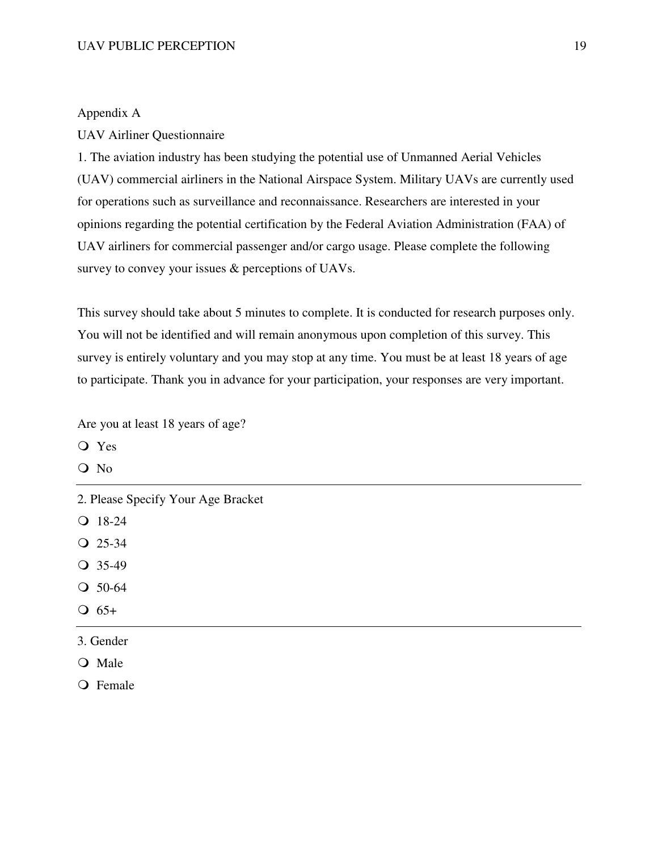#### Appendix A

#### UAV Airliner Questionnaire

1. The aviation industry has been studying the potential use of Unmanned Aerial Vehicles (UAV) commercial airliners in the National Airspace System. Military UAVs are currently used for operations such as surveillance and reconnaissance. Researchers are interested in your opinions regarding the potential certification by the Federal Aviation Administration (FAA) of UAV airliners for commercial passenger and/or cargo usage. Please complete the following survey to convey your issues & perceptions of UAVs.

This survey should take about 5 minutes to complete. It is conducted for research purposes only. You will not be identified and will remain anonymous upon completion of this survey. This survey is entirely voluntary and you may stop at any time. You must be at least 18 years of age to participate. Thank you in advance for your participation, your responses are very important.

Are you at least 18 years of age?

Yes

O No

2. Please Specify Your Age Bracket

Q 18-24

- Q 25-34
- $Q$  35-49
- Q 50-64
- $\bigcirc$  65+
- 3. Gender
- O Male

Q Female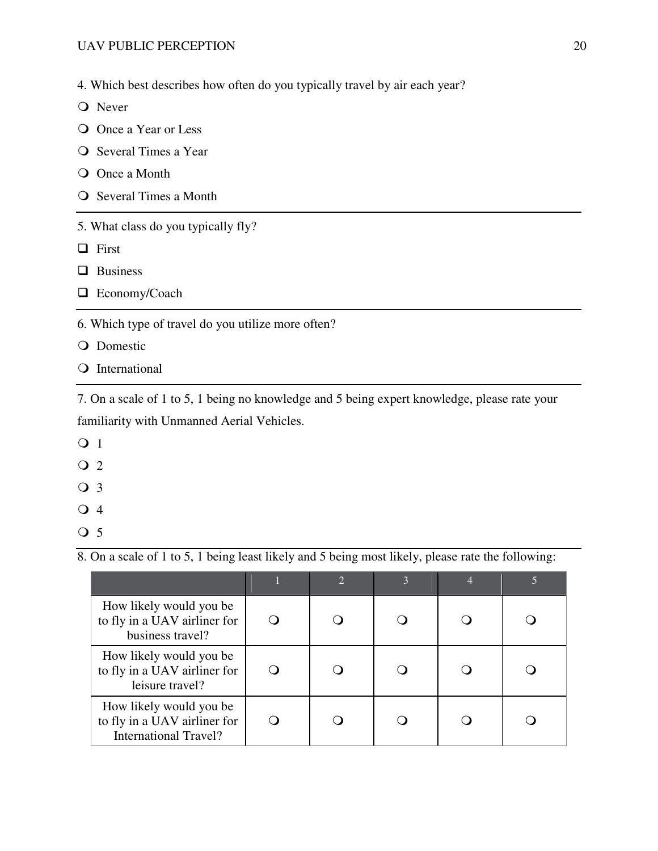4. Which best describes how often do you typically travel by air each year?

**O** Never

- Once a Year or Less
- O Several Times a Year
- O Once a Month
- O Several Times a Month
- 5. What class do you typically fly?
- □ First
- **Q** Business
- □ Economy/Coach

6. Which type of travel do you utilize more often?

- Q Domestic
- Q International

7. On a scale of 1 to 5, 1 being no knowledge and 5 being expert knowledge, please rate your familiarity with Unmanned Aerial Vehicles.

- **O** 1
- $\overline{Q}$  2
- Q 3
- $\overline{\text{O}}$  4
- Q 5

8. On a scale of 1 to 5, 1 being least likely and 5 being most likely, please rate the following:

|                                                                                         | $\mathcal{D}$ |  |  |
|-----------------------------------------------------------------------------------------|---------------|--|--|
| How likely would you be<br>to fly in a UAV airliner for<br>business travel?             |               |  |  |
| How likely would you be<br>to fly in a UAV airliner for<br>leisure travel?              |               |  |  |
| How likely would you be<br>to fly in a UAV airliner for<br><b>International Travel?</b> |               |  |  |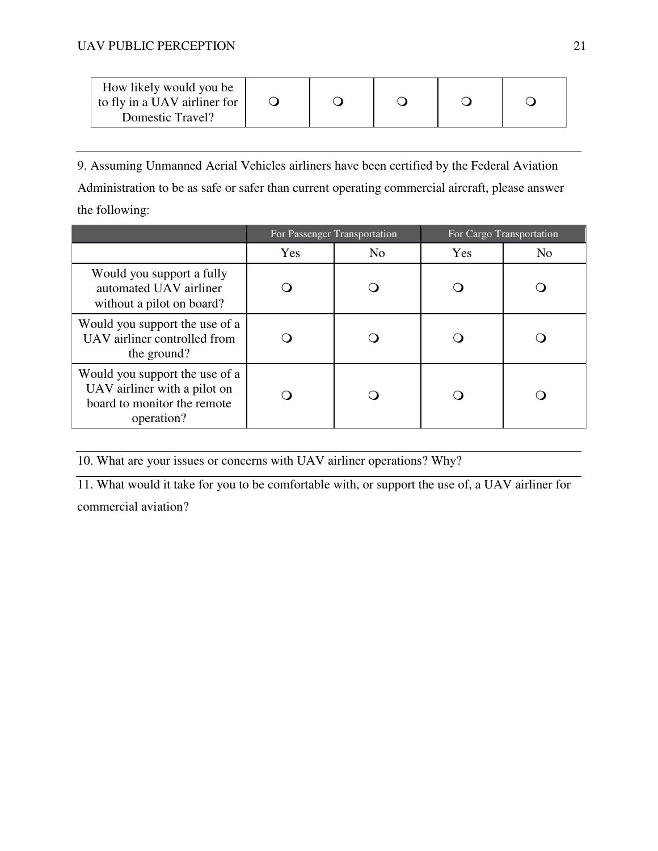### UAV PUBLIC PERCEPTION 21

| How likely would you be<br>to fly in a UAV airliner for<br>Domestic Travel? |  |  |  |  |  |
|-----------------------------------------------------------------------------|--|--|--|--|--|
|-----------------------------------------------------------------------------|--|--|--|--|--|

9. Assuming Unmanned Aerial Vehicles airliners have been certified by the Federal Aviation Administration to be as safe or safer than current operating commercial aircraft, please answer the following:

|                                                                                                             | For Passenger Transportation |                | For Cargo Transportation |                |
|-------------------------------------------------------------------------------------------------------------|------------------------------|----------------|--------------------------|----------------|
|                                                                                                             | Yes                          | N <sub>0</sub> | <b>Yes</b>               | N <sub>0</sub> |
| Would you support a fully<br>automated UAV airliner<br>without a pilot on board?                            |                              |                |                          |                |
| Would you support the use of a<br>UAV airliner controlled from<br>the ground?                               |                              |                |                          |                |
| Would you support the use of a<br>UAV airliner with a pilot on<br>board to monitor the remote<br>operation? |                              |                |                          |                |

10. What are your issues or concerns with UAV airliner operations? Why?

11. What would it take for you to be comfortable with, or support the use of, a UAV airliner for commercial aviation?